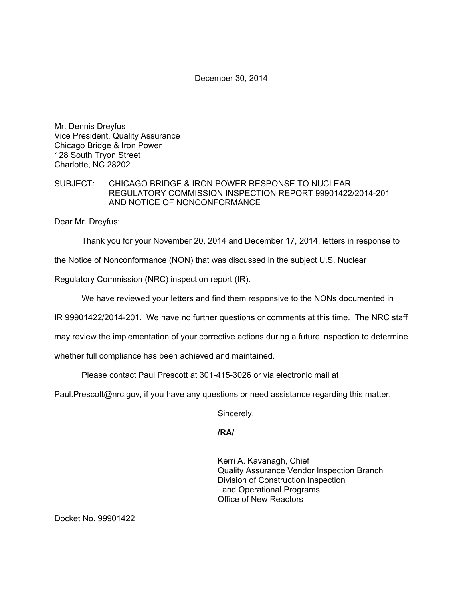December 30, 2014

Mr. Dennis Dreyfus Vice President, Quality Assurance Chicago Bridge & Iron Power 128 South Tryon Street Charlotte, NC 28202

## SUBJECT: CHICAGO BRIDGE & IRON POWER RESPONSE TO NUCLEAR REGULATORY COMMISSION INSPECTION REPORT 99901422/2014-201 AND NOTICE OF NONCONFORMANCE

Dear Mr. Dreyfus:

Thank you for your November 20, 2014 and December 17, 2014, letters in response to

the Notice of Nonconformance (NON) that was discussed in the subject U.S. Nuclear

Regulatory Commission (NRC) inspection report (IR).

We have reviewed your letters and find them responsive to the NONs documented in

IR 99901422/2014-201. We have no further questions or comments at this time. The NRC staff

may review the implementation of your corrective actions during a future inspection to determine

whether full compliance has been achieved and maintained.

Please contact Paul Prescott at 301-415-3026 or via electronic mail at

Paul.Prescott@nrc.gov, if you have any questions or need assistance regarding this matter.

Sincerely,

**/RA/** 

Kerri A. Kavanagh, Chief Quality Assurance Vendor Inspection Branch Division of Construction Inspection and Operational Programs Office of New Reactors

Docket No. 99901422